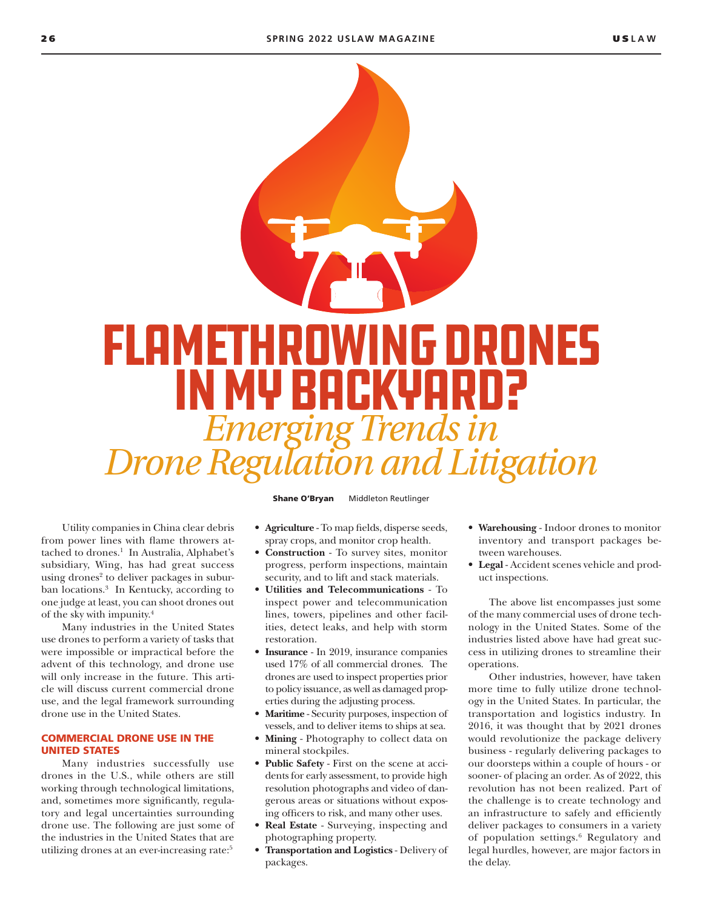

Utility companies in China clear debris from power lines with flame throwers attached to drones.<sup>1</sup> In Australia, Alphabet's subsidiary, Wing, has had great success using drones<sup>2</sup> to deliver packages in suburban locations.3 In Kentucky, according to one judge at least, you can shoot drones out of the sky with impunity.4

Many industries in the United States use drones to perform a variety of tasks that were impossible or impractical before the advent of this technology, and drone use will only increase in the future. This article will discuss current commercial drone use, and the legal framework surrounding drone use in the United States.

## COMMERCIAL DRONE USE IN THE UNITED STATES

Many industries successfully use drones in the U.S., while others are still working through technological limitations, and, sometimes more significantly, regulatory and legal uncertainties surrounding drone use. The following are just some of the industries in the United States that are utilizing drones at an ever-increasing rate:<sup>5</sup>

Shane O'Bryan Middleton Reutlinger

- **Agriculture** To map fields, disperse seeds, spray crops, and monitor crop health.
- **Construction** To survey sites, monitor progress, perform inspections, maintain security, and to lift and stack materials.
- **Utilities and Telecommunications** To inspect power and telecommunication lines, towers, pipelines and other facilities, detect leaks, and help with storm restoration.
- **Insurance** In 2019, insurance companies used 17% of all commercial drones. The drones are used to inspect properties prior to policy issuance, as well as damaged properties during the adjusting process.
- **Maritime** Security purposes, inspection of vessels, and to deliver items to ships at sea.
- **Mining** Photography to collect data on mineral stockpiles.
- **Public Safety** First on the scene at accidents for early assessment, to provide high resolution photographs and video of dangerous areas or situations without exposing officers to risk, and many other uses.
- **Real Estate** Surveying, inspecting and photographing property.
- **Transportation and Logistics** Delivery of packages.
- **Warehousing** Indoor drones to monitor inventory and transport packages between warehouses.
- **Legal** Accident scenes vehicle and product inspections.

The above list encompasses just some of the many commercial uses of drone technology in the United States. Some of the industries listed above have had great success in utilizing drones to streamline their operations.

Other industries, however, have taken more time to fully utilize drone technology in the United States. In particular, the transportation and logistics industry. In 2016, it was thought that by 2021 drones would revolutionize the package delivery business - regularly delivering packages to our doorsteps within a couple of hours - or sooner- of placing an order. As of 2022, this revolution has not been realized. Part of the challenge is to create technology and an infrastructure to safely and efficiently deliver packages to consumers in a variety of population settings.6 Regulatory and legal hurdles, however, are major factors in the delay.